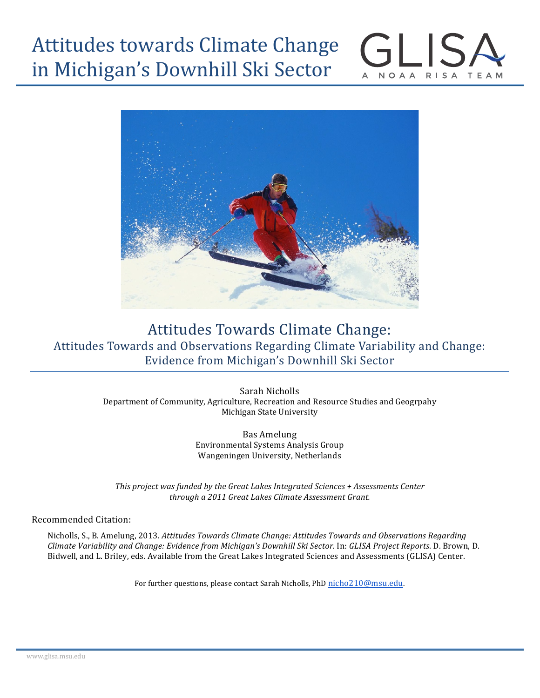# Attitudes towards Climate Change in Michigan's Downhill Ski Sector



**NOAA** 

RISA TEAM

# Attitudes Towards Climate Change: Attitudes Towards and Observations Regarding Climate Variability and Change: Evidence from Michigan's Downhill Ski Sector

Sarah Nicholls Department of Community, Agriculture, Recreation and Resource Studies and Geogrpahy Michigan State University

> Bas Amelung Environmental Systems Analysis Group Wangeningen University, Netherlands

*This project was funded by the Great Lakes Integrated Sciences + Assessments Center through a 2011 Great Lakes Climate Assessment Grant.*

#### Recommended Citation:

Nicholls, S., B. Amelung, 2013. Attitudes Towards Climate Change: Attitudes Towards and Observations Regarding *Climate Variability and Change: Evidence from Michigan's Downhill Ski Sector*. In: *GLISA Project Reports*. D. Brown, D. Bidwell, and L. Briley, eds. Available from the Great Lakes Integrated Sciences and Assessments (GLISA) Center.

For further questions, please contact Sarah Nicholls, PhD nicho210@msu.edu.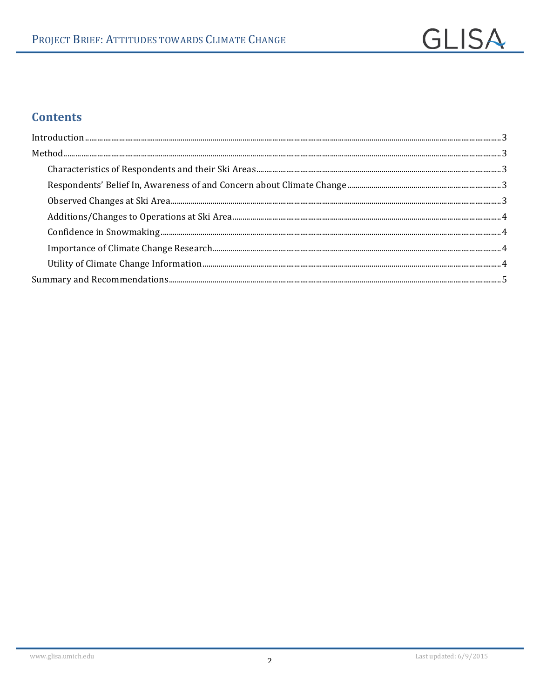

# **Contents**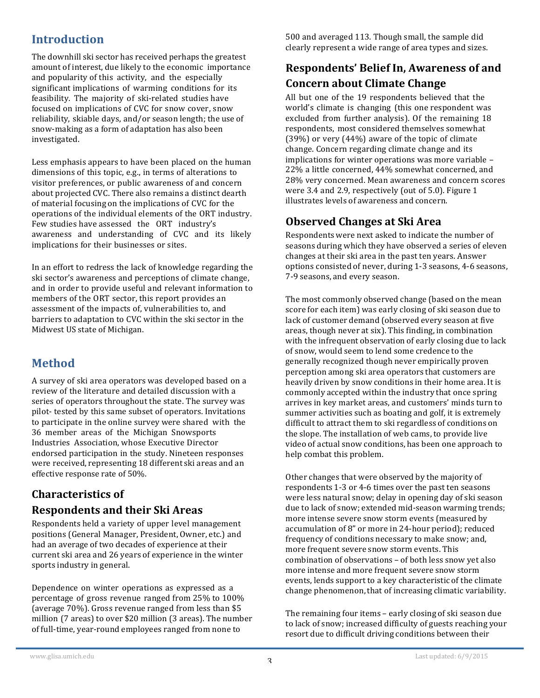#### **Introduction**

The downhill ski sector has received perhaps the greatest amount of interest, due likely to the economic importance and popularity of this activity, and the especially significant implications of warming conditions for its feasibility. The majority of ski-related studies have focused on implications of CVC for snow cover, snow reliability, skiable days, and/or season length; the use of snow-making as a form of adaptation has also been investigated.

Less emphasis appears to have been placed on the human dimensions of this topic, e.g., in terms of alterations to visitor preferences, or public awareness of and concern about projected CVC. There also remains a distinct dearth of material focusing on the implications of CVC for the operations of the individual elements of the ORT industry. Few studies have assessed the ORT industry's awareness and understanding of CVC and its likely implications for their businesses or sites.

In an effort to redress the lack of knowledge regarding the ski sector's awareness and perceptions of climate change, and in order to provide useful and relevant information to members of the ORT sector, this report provides an assessment of the impacts of, vulnerabilities to, and barriers to adaptation to CVC within the ski sector in the Midwest US state of Michigan.

## **Method**

A survey of ski area operators was developed based on a review of the literature and detailed discussion with a series of operators throughout the state. The survey was pilot- tested by this same subset of operators. Invitations to participate in the online survey were shared with the 36 member areas of the Michigan Snowsports Industries Association, whose Executive Director endorsed participation in the study. Nineteen responses were received, representing 18 different ski areas and an effective response rate of 50%.

#### **Characteristics of Respondents and their Ski Areas**

Respondents held a variety of upper level management positions (General Manager, President, Owner, etc.) and had an average of two decades of experience at their current ski area and 26 years of experience in the winter sports industry in general.

Dependence on winter operations as expressed as a percentage of gross revenue ranged from 25% to 100% (average  $70\%$ ). Gross revenue ranged from less than \$5 million (7 areas) to over \$20 million (3 areas). The number of full-time, year-round employees ranged from none to

500 and averaged 113. Though small, the sample did clearly represent a wide range of area types and sizes.

#### **Respondents' Belief In, Awareness of and Concern about Climate Change**

All but one of the 19 respondents believed that the world's climate is changing (this one respondent was excluded from further analysis). Of the remaining 18 respondents, most considered themselves somewhat (39%) or very (44%) aware of the topic of climate change. Concern regarding climate change and its implications for winter operations was more variable  $-$ 22% a little concerned, 44% somewhat concerned, and 28% very concerned. Mean awareness and concern scores were 3.4 and 2.9, respectively (out of 5.0). Figure 1 illustrates levels of awareness and concern.

#### **Observed Changes at Ski Area**

Respondents were next asked to indicate the number of seasons during which they have observed a series of eleven changes at their ski area in the past ten years. Answer options consisted of never, during 1-3 seasons, 4-6 seasons, 7-9 seasons, and every season.

The most commonly observed change (based on the mean score for each item) was early closing of ski season due to lack of customer demand (observed every season at five areas, though never at six). This finding, in combination with the infrequent observation of early closing due to lack of snow, would seem to lend some credence to the generally recognized though never empirically proven perception among ski area operators that customers are heavily driven by snow conditions in their home area. It is commonly accepted within the industry that once spring arrives in key market areas, and customers' minds turn to summer activities such as boating and golf, it is extremely difficult to attract them to ski regardless of conditions on the slope. The installation of web cams, to provide live video of actual snow conditions, has been one approach to help combat this problem.

Other changes that were observed by the majority of respondents 1-3 or 4-6 times over the past ten seasons were less natural snow; delay in opening day of ski season due to lack of snow; extended mid-season warming trends; more intense severe snow storm events (measured by accumulation of 8" or more in 24-hour period); reduced frequency of conditions necessary to make snow; and, more frequent severe snow storm events. This combination of observations - of both less snow yet also more intense and more frequent severe snow storm events, lends support to a key characteristic of the climate change phenomenon, that of increasing climatic variability.

The remaining four items – early closing of ski season due to lack of snow; increased difficulty of guests reaching your resort due to difficult driving conditions between their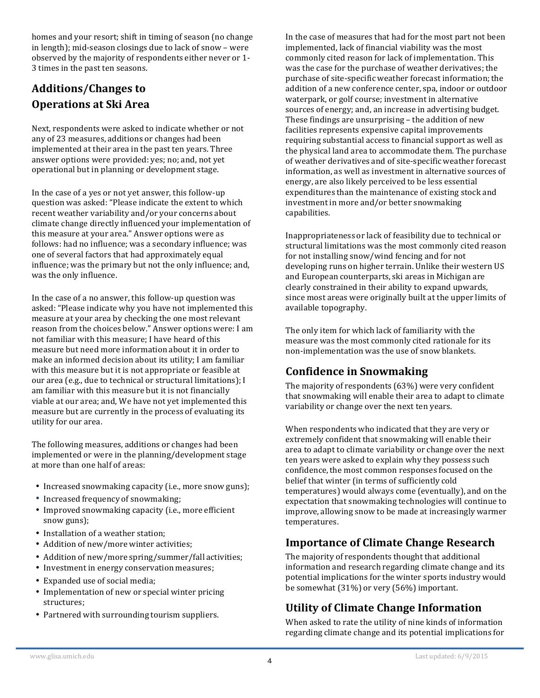homes and your resort; shift in timing of season (no change in length); mid-season closings due to lack of snow - were observed by the majority of respondents either never or 1- 3 times in the past ten seasons.

# Additions/Changes to **Operations at Ski Area**

Next, respondents were asked to indicate whether or not any of 23 measures, additions or changes had been implemented at their area in the past ten years. Three answer options were provided: yes; no; and, not vet operational but in planning or development stage.

In the case of a yes or not yet answer, this follow-up question was asked: "Please indicate the extent to which recent weather variability and/or your concerns about climate change directly influenced your implementation of this measure at your area." Answer options were as follows: had no influence: was a secondary influence: was one of several factors that had approximately equal influence; was the primary but not the only influence; and, was the only influence.

In the case of a no answer, this follow-up question was asked: "Please indicate why you have not implemented this measure at your area by checking the one most relevant reason from the choices below." Answer options were: I am not familiar with this measure; I have heard of this measure but need more information about it in order to make an informed decision about its utility; I am familiar with this measure but it is not appropriate or feasible at our area (e.g., due to technical or structural limitations); I am familiar with this measure but it is not financially viable at our area; and, We have not yet implemented this measure but are currently in the process of evaluating its utility for our area.

The following measures, additions or changes had been implemented or were in the planning/development stage at more than one half of areas:

- Increased snowmaking capacity (i.e., more snow guns);
- Increased frequency of snowmaking;
- Improved snowmaking capacity (i.e., more efficient snow guns);
- Installation of a weather station;
- Addition of new/more winter activities;
- Addition of new/more spring/summer/fall activities;
- Investment in energy conservation measures;
- Expanded use of social media;
- Implementation of new or special winter pricing structures;
- Partnered with surrounding tourism suppliers.

In the case of measures that had for the most part not been implemented, lack of financial viability was the most commonly cited reason for lack of implementation. This was the case for the purchase of weather derivatives; the purchase of site-specific weather forecast information; the addition of a new conference center, spa, indoor or outdoor waterpark, or golf course; investment in alternative sources of energy; and, an increase in advertising budget. These findings are unsurprising – the addition of new facilities represents expensive capital improvements requiring substantial access to financial support as well as the physical land area to accommodate them. The purchase of weather derivatives and of site-specific weather forecast information, as well as investment in alternative sources of energy, are also likely perceived to be less essential expenditures than the maintenance of existing stock and investment in more and/or better snowmaking capabilities.

Inappropriateness or lack of feasibility due to technical or structural limitations was the most commonly cited reason for not installing snow/wind fencing and for not developing runs on higher terrain. Unlike their western US and European counterparts, ski areas in Michigan are clearly constrained in their ability to expand upwards, since most areas were originally built at the upper limits of available topography.

The only item for which lack of familiarity with the measure was the most commonly cited rationale for its non-implementation was the use of snow blankets.

#### **Confidence in Snowmaking**

The majority of respondents (63%) were very confident that snowmaking will enable their area to adapt to climate variability or change over the next ten years.

When respondents who indicated that they are very or extremely confident that snowmaking will enable their area to adapt to climate variability or change over the next ten years were asked to explain why they possess such confidence, the most common responses focused on the belief that winter (in terms of sufficiently cold temperatures) would always come (eventually), and on the expectation that snowmaking technologies will continue to improve, allowing snow to be made at increasingly warmer temperatures.

#### **Importance of Climate Change Research**

The majority of respondents thought that additional information and research regarding climate change and its potential implications for the winter sports industry would be somewhat  $(31\%)$  or very  $(56\%)$  important.

#### **Utility of Climate Change Information**

When asked to rate the utility of nine kinds of information regarding climate change and its potential implications for